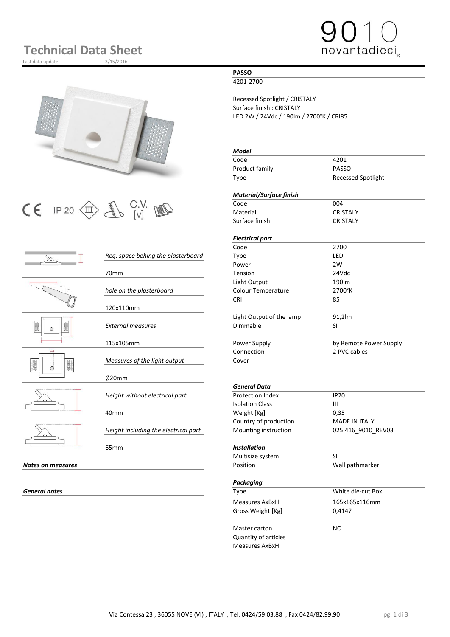# **Technical Data Sheet**

Last data update



 $\begin{array}{|c|c|c|c|}\n\hline\n\text{C} & \text{IP 20}\n\hline\n\text{CD} & \text{UV} & \text{W} & \text{C} & \text{C} & \text{C} & \text{C} & \text{C} & \text{C} & \text{C} \\
\hline\n\text{C} & \text{I} & \text{I} & \text{V} & \text{V} & \text{V} & \text{V} & \text{C} & \text{C} & \text{C} & \text{C} & \text{C} \\
\hline\n\end{array}$ 

|                          |                                      | coue                      | 27 UU                |
|--------------------------|--------------------------------------|---------------------------|----------------------|
|                          | Req. space behing the plasterboard   | <b>Type</b>               | LED                  |
|                          |                                      | Power                     | 2W                   |
|                          | 70 <sub>mm</sub>                     | Tension                   | 24Vdc                |
|                          |                                      | Light Output              | 190lm                |
|                          | hole on the plasterboard             | Colour Temperature        | 2700°K               |
|                          |                                      | <b>CRI</b>                | 85                   |
|                          | 120x110mm                            |                           |                      |
|                          |                                      | Light Output of the lamp  | 91,2lm               |
| $\circ$                  | <b>External measures</b>             | Dimmable                  | <b>SI</b>            |
|                          |                                      |                           |                      |
|                          | 115x105mm                            | Power Supply              | by Remote Powe       |
|                          |                                      | Connection                | 2 PVC cables         |
|                          | Measures of the light output         | Cover                     |                      |
| ∩                        |                                      |                           |                      |
|                          | Ø20mm                                |                           |                      |
|                          |                                      | <b>General Data</b>       |                      |
|                          | Height without electrical part       | <b>Protection Index</b>   | <b>IP20</b>          |
|                          |                                      | <b>Isolation Class</b>    | $\mathbf{III}$       |
|                          | 40 <sub>mm</sub>                     | Weight [Kg]               | 0,35                 |
|                          |                                      | Country of production     | <b>MADE IN ITALY</b> |
|                          | Height including the electrical part | Mounting instruction      | 025.416_9010_R       |
|                          |                                      |                           |                      |
|                          | 65 <sub>mm</sub>                     | <b>Installation</b>       |                      |
|                          |                                      | Multisize system          | <b>SI</b>            |
| <b>Notes on measures</b> |                                      | Position                  | Wall pathmarker      |
|                          |                                      |                           |                      |
|                          |                                      | $B_0$ and $B_1$ and $B_2$ |                      |

### **PASSO**

4201-2700

Recessed Spotlight / CRISTALY Surface finish : CRISTALY LED 2W / 24Vdc / 190lm / 2700°K / CRI85

### *Model*

Code 4201<br>Product family PASSO Product family Type Recessed Spotlight

novantadieci

### *Material/Surface finish*

Material CRISTALY Surface finish CRISTALY

### *Electrical part*

Code 2700 Power 2W 70mm Tension 24Vdc Light Output 190lm *hole on the plasterboard* Colour Temperature 2700°K CRI 85 Light Output of the lamp 91,2lm *External measures* Dimmable SI

Power Supply **115 and 115 and 115 and 115 and 115 and 115 and 115 and 115 and 115 and 115 and 115 and 115 and 11** 

### *General Data*

**Protection Index IP20**<br>Isolation Class III **Isolation Class** Weight [Kg] 0,35 Country of production MADE IN ITALY Mounting instruction 025.416\_9010\_REV03

### 65mm *Installation*

|                   | Multisize system            | <b>SI</b>         |  |
|-------------------|-----------------------------|-------------------|--|
| Notes on measures | Position                    | Wall pathmarker   |  |
|                   | Packaging                   |                   |  |
| General notes     | <b>Type</b>                 | White die-cut Box |  |
|                   | Measures AxBxH              | 165x165x116mm     |  |
|                   | Gross Weight [Kg]           | 0,4147            |  |
|                   | Master carton               | N <sub>O</sub>    |  |
|                   | <b>Quantity of articles</b> |                   |  |
|                   | <b>Measures AxBxH</b>       |                   |  |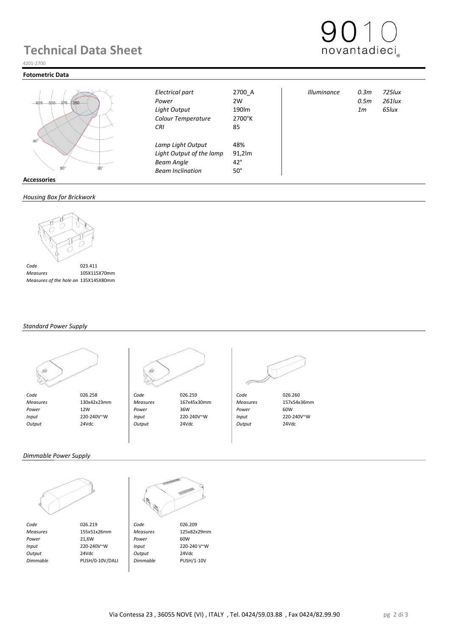### **Technical Data Sheet**



### 4201-2700

#### **Fotometric Data**



|     |   | œ          |  |
|-----|---|------------|--|
|     | ÷ |            |  |
| 6∩° |   | $90^\circ$ |  |
|     |   |            |  |

**Accessories**

### *Housing Box for Brickwork*



 *Measures* 105X115X70mm  *Measures of the hole on Brickwork* 135X145X80mm

### *Standard Power Supply*





 *Code* 026.258 *Code* 026.259 *Code* 026.260  *Measures* 130x42x23mm *Measures* 167x45x30mm *Measures* 157x54x36mm  *Power* 12W *Power* 36W *Power* 60W  *Input* 220-240V~W *Input* 220-240V~W *Input* 220-240V~W  *Output* 24Vdc *Output* 24Vdc *Output* 24Vdc

*Colour Temperature* 2700°K *CRI* 85

*Lamp Light Output* 48%<br>*Light Output of the lamp* 91.2lm **Light Output of the lamp Beam Angle** 42° *Beam Inclination* 50°



*Electrical part* 2700\_A *Illuminance 0.3m 725lux Power* 2W *0.5m 261lux Light Output* 190lm *1m 65lux*

### *Dimmable Power Supply*



*Code* 026.219 **Code** 026.209<br> *Measures* 155x51x26mm *Measures* 125x82x29mm  *Measures* 155x51x26mm *Measures* 125x82x29mm *Power* 21,6W **Power** 60W  *Input* 220-240V~W *Input* 220-240 V~W  *Output* 24Vdc *Output* 24Vdc

 *Dimmable* PUSH/0-10V/DALI *Dimmable* PUSH/1-10V